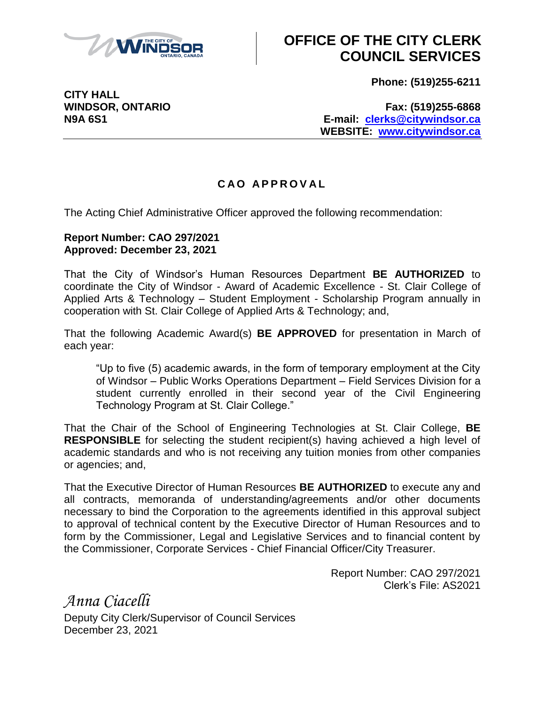

**CITY HALL**

## **OFFICE OF THE CITY CLERK COUNCIL SERVICES**

**Phone: (519)255-6211**

**WINDSOR, ONTARIO Fax: (519)255-6868 N9A 6S1 E-mail: [clerks@citywindsor.ca](mailto:clerks@citywindsor.ca) WEBSITE: [www.citywindsor.ca](http://www.citywindsor.ca/)**

## **C A O A P P R O V A L**

The Acting Chief Administrative Officer approved the following recommendation:

## **Report Number: CAO 297/2021 Approved: December 23, 2021**

That the City of Windsor's Human Resources Department **BE AUTHORIZED** to coordinate the City of Windsor - Award of Academic Excellence - St. Clair College of Applied Arts & Technology – Student Employment - Scholarship Program annually in cooperation with St. Clair College of Applied Arts & Technology; and,

That the following Academic Award(s) **BE APPROVED** for presentation in March of each year:

"Up to five (5) academic awards, in the form of temporary employment at the City of Windsor – Public Works Operations Department – Field Services Division for a student currently enrolled in their second year of the Civil Engineering Technology Program at St. Clair College."

That the Chair of the School of Engineering Technologies at St. Clair College, **BE RESPONSIBLE** for selecting the student recipient(s) having achieved a high level of academic standards and who is not receiving any tuition monies from other companies or agencies; and,

That the Executive Director of Human Resources **BE AUTHORIZED** to execute any and all contracts, memoranda of understanding/agreements and/or other documents necessary to bind the Corporation to the agreements identified in this approval subject to approval of technical content by the Executive Director of Human Resources and to form by the Commissioner, Legal and Legislative Services and to financial content by the Commissioner, Corporate Services - Chief Financial Officer/City Treasurer.

> Report Number: CAO 297/2021 Clerk's File: AS2021

*Anna Ciacelli* Deputy City Clerk/Supervisor of Council Services December 23, 2021